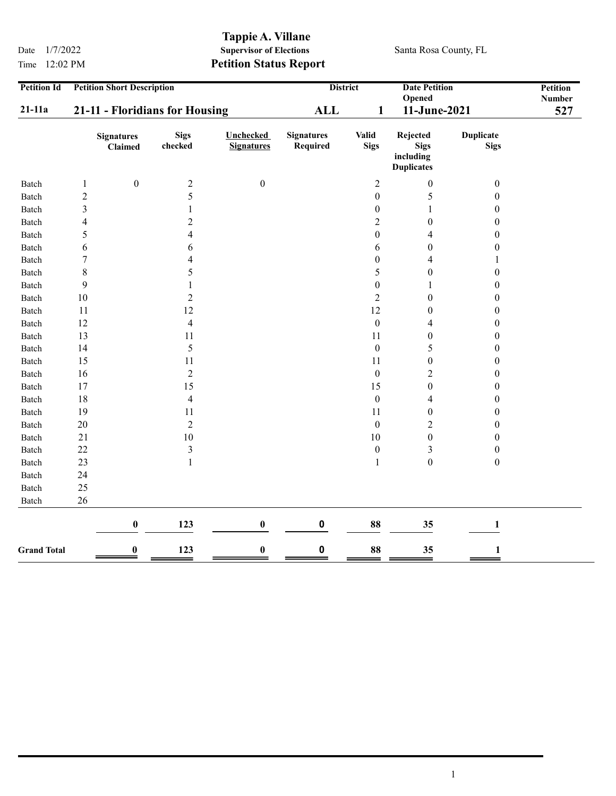Time 12:02 PM Petition Status Report

## Tappie A. Villane<br>Supervisor of Elections Date  $1/7/2022$  Supervisor of Elections Santa Rosa County, FL

| <b>Petition Id</b> | <b>Petition Short Description</b> |                              |                          |                                       | <b>Date Petition</b><br><b>District</b><br>Opened |                             |                                                           | Petition<br><b>Number</b>       |  |
|--------------------|-----------------------------------|------------------------------|--------------------------|---------------------------------------|---------------------------------------------------|-----------------------------|-----------------------------------------------------------|---------------------------------|--|
| $21-11a$           | 21-11 - Floridians for Housing    |                              |                          | <b>ALL</b><br>$\mathbf{1}$            |                                                   | 11-June-2021                |                                                           | 527                             |  |
|                    |                                   | <b>Signatures</b><br>Claimed | <b>Sigs</b><br>checked   | <b>Unchecked</b><br><b>Signatures</b> | <b>Signatures</b><br>Required                     | <b>Valid</b><br><b>Sigs</b> | Rejected<br><b>Sigs</b><br>including<br><b>Duplicates</b> | <b>Duplicate</b><br><b>Sigs</b> |  |
| Batch              | $\mathbf{1}$                      | $\boldsymbol{0}$             | $\overline{c}$           | $\boldsymbol{0}$                      |                                                   | $\overline{c}$              | $\boldsymbol{0}$                                          | $\boldsymbol{0}$                |  |
| Batch              | $\overline{c}$                    |                              | 5                        |                                       |                                                   | $\boldsymbol{0}$            | $\sqrt{5}$                                                | $\boldsymbol{0}$                |  |
| Batch              | 3                                 |                              | 1                        |                                       |                                                   | $\boldsymbol{0}$            | $\mathbf{1}$                                              | $\boldsymbol{0}$                |  |
| Batch              | $\overline{\mathcal{L}}$          |                              | $\overline{2}$           |                                       |                                                   | $\overline{2}$              | $\boldsymbol{0}$                                          | $\boldsymbol{0}$                |  |
| Batch              | 5                                 |                              | $\overline{4}$           |                                       |                                                   | $\boldsymbol{0}$            | $\overline{4}$                                            | $\boldsymbol{0}$                |  |
| Batch              | 6                                 |                              | 6                        |                                       |                                                   | 6                           | $\boldsymbol{0}$                                          | $\boldsymbol{0}$                |  |
| Batch              | $\tau$                            |                              | $\overline{4}$           |                                       |                                                   | $\boldsymbol{0}$            | $\overline{4}$                                            | 1                               |  |
| Batch              | $8\,$                             |                              | 5                        |                                       |                                                   | 5                           | $\boldsymbol{0}$                                          | $\boldsymbol{0}$                |  |
| Batch              | 9                                 |                              | 1                        |                                       |                                                   | $\boldsymbol{0}$            | $\mathbf{1}$                                              | $\boldsymbol{0}$                |  |
| Batch              | 10                                |                              | $\overline{2}$           |                                       |                                                   | $\overline{2}$              | $\boldsymbol{0}$                                          | $\boldsymbol{0}$                |  |
| Batch              | 11                                |                              | 12                       |                                       |                                                   | 12                          | $\boldsymbol{0}$                                          | $\boldsymbol{0}$                |  |
| Batch              | 12                                |                              | $\overline{\mathcal{L}}$ |                                       |                                                   | $\boldsymbol{0}$            | $\overline{\mathcal{A}}$                                  | $\boldsymbol{0}$                |  |
| Batch              | 13                                |                              | 11                       |                                       |                                                   | 11                          | $\boldsymbol{0}$                                          | $\boldsymbol{0}$                |  |
| Batch              | 14                                |                              | 5                        |                                       |                                                   | $\boldsymbol{0}$            | 5                                                         | $\boldsymbol{0}$                |  |
| Batch              | 15                                |                              | $11\,$                   |                                       |                                                   | 11                          | $\boldsymbol{0}$                                          | $\boldsymbol{0}$                |  |
| Batch              | 16                                |                              | $\overline{2}$           |                                       |                                                   | $\boldsymbol{0}$            | $\mathbf 2$                                               | $\boldsymbol{0}$                |  |
| Batch              | 17                                |                              | 15                       |                                       |                                                   | 15                          | $\boldsymbol{0}$                                          | $\boldsymbol{0}$                |  |
| Batch              | $18\,$                            |                              | $\overline{\mathbf{4}}$  |                                       |                                                   | $\boldsymbol{0}$            | $\overline{\mathcal{A}}$                                  | $\boldsymbol{0}$                |  |
| Batch              | 19                                |                              | 11                       |                                       |                                                   | 11                          | $\boldsymbol{0}$                                          | $\boldsymbol{0}$                |  |
| Batch              | 20                                |                              | $\overline{2}$           |                                       |                                                   | $\boldsymbol{0}$            | $\mathbf 2$                                               | $\boldsymbol{0}$                |  |
| Batch              | $21\,$                            |                              | $10\,$                   |                                       |                                                   | 10                          | $\boldsymbol{0}$                                          | $\boldsymbol{0}$                |  |
| Batch              | 22                                |                              | $\mathfrak{Z}$           |                                       |                                                   | $\boldsymbol{0}$            | $\mathfrak{Z}$                                            | $\boldsymbol{0}$                |  |
| Batch              | 23                                |                              | $\mathbf{1}$             |                                       |                                                   | $\mathbf{1}$                | $\boldsymbol{0}$                                          | $\boldsymbol{0}$                |  |
| Batch              | 24                                |                              |                          |                                       |                                                   |                             |                                                           |                                 |  |
| Batch              | 25                                |                              |                          |                                       |                                                   |                             |                                                           |                                 |  |
| Batch              | 26                                |                              |                          |                                       |                                                   |                             |                                                           |                                 |  |
|                    |                                   | $\bf{0}$                     | 123                      | $\bf{0}$                              | $\pmb{0}$                                         | 88                          | 35                                                        | $\mathbf{1}$                    |  |
| <b>Grand Total</b> |                                   | $\bf{0}$                     | 123                      | $\bf{0}$                              | $\pmb{0}$                                         | 88                          | 35                                                        | $\mathbf{1}$                    |  |